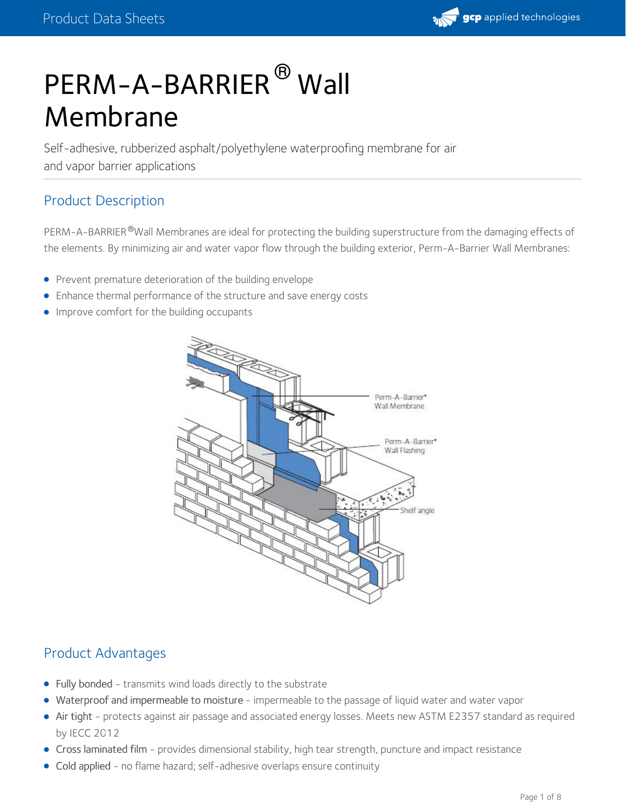# PERM-A-BARRIER<sup>®</sup> Wall Membrane

Self-adhesive, rubberized asphalt/polyethylene waterproofing membrane for air and vapor barrier applications

# Product Description

PERM-A-BARRIER®Wall Membranes are ideal for protecting the building superstructure from the damaging effects of the elements. By minimizing air and water vapor flow through the building exterior, Perm-A-Barrier Wall Membranes:

- **•** Prevent premature deterioration of the building envelope
- Enhance thermal performance of the structure and save energy costs
- **Improve comfort for the building occupants**



# Product Advantages

- Fully bonded transmits wind loads directly to the substrate
- Waterproof and impermeable to moisture impermeable to the passage of liquid water and water vapor
- Air tight protects against air passage and associated energy losses. Meets new ASTM E2357 standard as required by IECC 2012
- Cross laminated film provides dimensional stability, high tear strength, puncture and impact resistance
- Cold applied no flame hazard; self-adhesive overlaps ensure continuity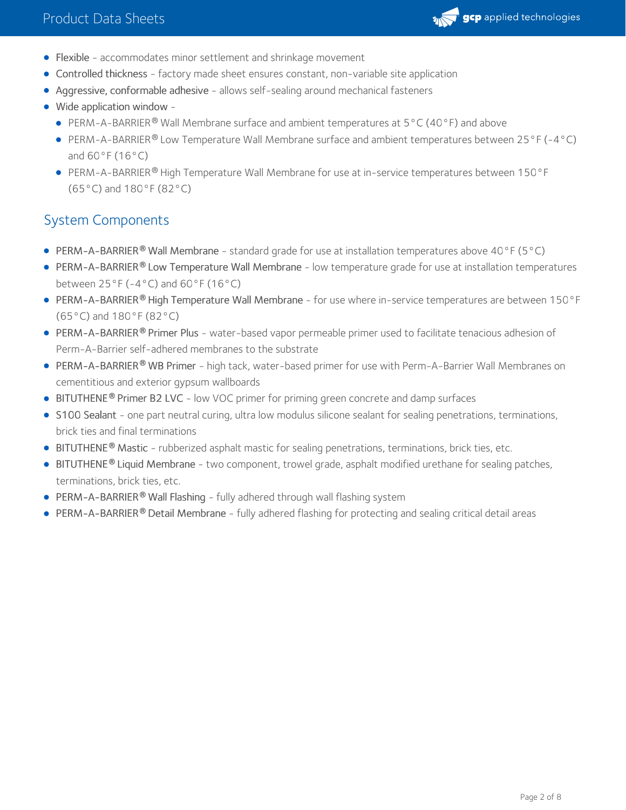

- Flexible accommodates minor settlement and shrinkage movement
- Controlled thickness factory made sheet ensures constant, non-variable site application
- Aggressive, conformable adhesive allows self-sealing around mechanical fasteners
- Wide application window
	- PERM-A-BARRIER<sup>®</sup> Wall Membrane surface and ambient temperatures at  $5^{\circ}$ C (40°F) and above
	- PERM-A-BARRIER® Low Temperature Wall Membrane surface and ambient temperatures between 25°F (-4°C) and 60°F (16°C)
	- PERM-A-BARRIER® High Temperature Wall Membrane for use at in-service temperatures between 150°F (65°C) and 180°F (82°C)

# System Components

- PERM-A-BARRIER® Wall Membrane standard grade for use at installation temperatures above 40°F (5°C)
- PERM-A-BARRIER® Low Temperature Wall Membrane low temperature grade for use at installation temperatures between  $25^{\circ}F(-4^{\circ}C)$  and  $60^{\circ}F(16^{\circ}C)$
- PERM-A-BARRIER® High Temperature Wall Membrane for use where in-service temperatures are between 150°F (65°C) and 180°F (82°C)
- PERM-A-BARRIER® Primer Plus water-based vapor permeable primer used to facilitate tenacious adhesion of Perm-A-Barrier self-adhered membranes to the substrate
- PERM-A-BARRIER WB Primer high tack, water-based primer for use with Perm-A-Barrier Wall Membranes on **®** cementitious and exterior gypsum wallboards
- **BITUTHENE<sup>®</sup> Primer B2 LVC** low VOC primer for priming green concrete and damp surfaces
- S100 Sealant one part neutral curing, ultra low modulus silicone sealant for sealing penetrations, terminations, brick ties and final terminations
- **BITUTHENE<sup>®</sup> Mastic** rubberized asphalt mastic for sealing penetrations, terminations, brick ties, etc.
- BITUTHENE® Liquid Membrane two component, trowel grade, asphalt modified urethane for sealing patches, terminations, brick ties, etc.
- PERM-A-BARRIER **®** Wall Flashing fully adhered through wall flashing system
- **PERM-A-BARRIER® Detail Membrane** fully adhered flashing for protecting and sealing critical detail areas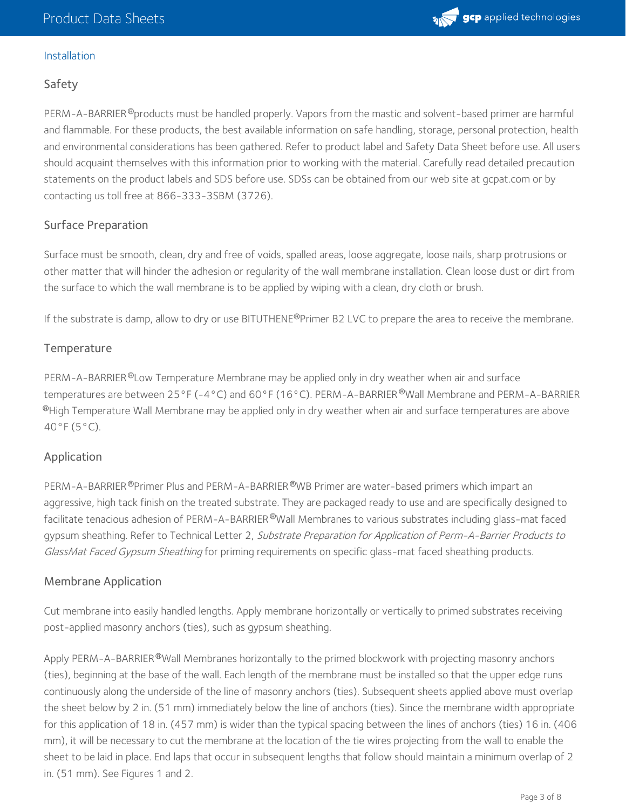# Installation

# Safety

PERM-A-BARRIER®products must be handled properly. Vapors from the mastic and solvent-based primer are harmful and flammable. For these products, the best available information on safe handling, storage, personal protection, health and environmental considerations has been gathered. Refer to product label and Safety Data Sheet before use. All users should acquaint themselves with this information prior to working with the material. Carefully read detailed precaution statements on the product labels and SDS before use. SDSs can be obtained from our web site at gcpat.com or by contacting us toll free at 866-333-3SBM (3726).

# Surface Preparation

Surface must be smooth, clean, dry and free of voids, spalled areas, loose aggregate, loose nails, sharp protrusions or other matter that will hinder the adhesion or regularity of the wall membrane installation. Clean loose dust or dirt from the surface to which the wall membrane is to be applied by wiping with a clean, dry cloth or brush.

If the substrate is damp, allow to dry or use BITUTHENE®Primer B2 LVC to prepare the area to receive the membrane.

# **Temperature**

PERM-A-BARRIER®Low Temperature Membrane may be applied only in dry weather when air and surface temperatures are between 25°F (-4°C) and 60°F (16°C). PERM-A-BARRIER ®Wall Membrane and PERM-A-BARRIER  $^\circledR$ High Temperature Wall Membrane may be applied only in dry weather when air and surface temperatures are above 40°F (5°C).

## Application

PERM-A-BARRIER®Primer Plus and PERM-A-BARRIER®WB Primer are water-based primers which impart an aggressive, high tack finish on the treated substrate. They are packaged ready to use and are specifically designed to facilitate tenacious adhesion of PERM-A-BARRIER®Wall Membranes to various substrates including glass-mat faced gypsum sheathing. Refer to Technical Letter 2, Substrate Preparation for Application of Perm-A-Barrier Products to GlassMat Faced Gypsum Sheathing for priming requirements on specific glass-mat faced sheathing products.

## Membrane Application

Cut membrane into easily handled lengths. Apply membrane horizontally or vertically to primed substrates receiving post-applied masonry anchors (ties), such as gypsum sheathing.

Apply PERM-A-BARRIER®Wall Membranes horizontally to the primed blockwork with projecting masonry anchors (ties), beginning at the base of the wall. Each length of the membrane must be installed so that the upper edge runs continuously along the underside of the line of masonry anchors (ties). Subsequent sheets applied above must overlap the sheet below by 2 in. (51 mm) immediately below the line of anchors (ties). Since the membrane width appropriate for this application of 18 in. (457 mm) is wider than the typical spacing between the lines of anchors (ties) 16 in. (406 mm), it will be necessary to cut the membrane at the location of the tie wires projecting from the wall to enable the sheet to be laid in place. End laps that occur in subsequent lengths that follow should maintain a minimum overlap of 2 in. (51 mm). See Figures 1 and 2.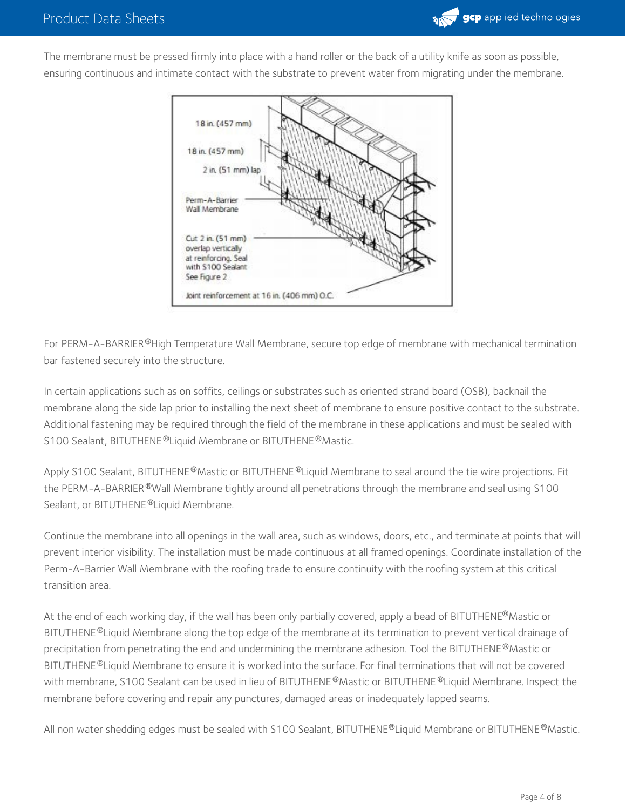

The membrane must be pressed firmly into place with a hand roller or the back of a utility knife as soon as possible, ensuring continuous and intimate contact with the substrate to prevent water from migrating under the membrane.



For PERM-A-BARRIER®High Temperature Wall Membrane, secure top edge of membrane with mechanical termination bar fastened securely into the structure.

In certain applications such as on soffits, ceilings or substrates such as oriented strand board (OSB), backnail the membrane along the side lap prior to installing the next sheet of membrane to ensure positive contact to the substrate. Additional fastening may be required through the field of the membrane in these applications and must be sealed with S100 Sealant, BITUTHENE®Liquid Membrane or BITUTHENE®Mastic.

Apply S100 Sealant, BITUTHENE®Mastic or BITUTHENE®Liquid Membrane to seal around the tie wire projections. Fit the PERM-A-BARRIER®Wall Membrane tightly around all penetrations through the membrane and seal using S100 Sealant, or BITUTHENE ®Liquid Membrane.

Continue the membrane into all openings in the wall area, such as windows, doors, etc., and terminate at points that will prevent interior visibility. The installation must be made continuous at all framed openings. Coordinate installation of the Perm-A-Barrier Wall Membrane with the roofing trade to ensure continuity with the roofing system at this critical transition area.

At the end of each working day, if the wall has been only partially covered, apply a bead of BITUTHENE®Mastic or BITUTHENE®Liquid Membrane along the top edge of the membrane at its termination to prevent vertical drainage of precipitation from penetrating the end and undermining the membrane adhesion. Tool the BITUTHENE  $^\circledR$ Mastic or BITUTHENE ®Liquid Membrane to ensure it is worked into the surface. For final terminations that will not be covered with membrane, S100 Sealant can be used in lieu of BITUTHENE®Mastic or BITUTHENE®Liquid Membrane. Inspect the membrane before covering and repair any punctures, damaged areas or inadequately lapped seams.

All non water shedding edges must be sealed with S100 Sealant, BITUTHENE®Liquid Membrane or BITUTHENE®Mastic.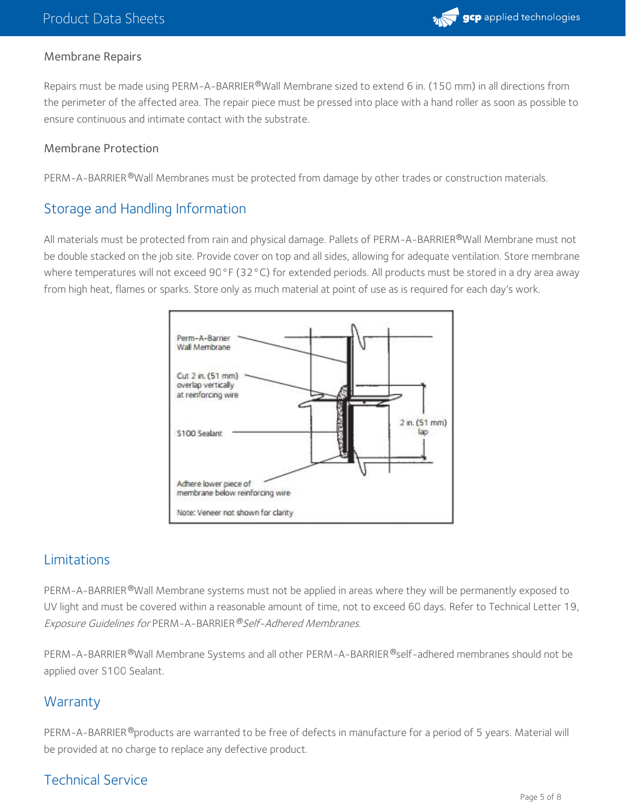

## Membrane Repairs

Repairs must be made using PERM-A-BARRIER®Wall Membrane sized to extend 6 in. (150 mm) in all directions from the perimeter of the affected area. The repair piece must be pressed into place with a hand roller as soon as possible to ensure continuous and intimate contact with the substrate.

#### Membrane Protection

PERM-A-BARRIER®Wall Membranes must be protected from damage by other trades or construction materials.

# Storage and Handling Information

All materials must be protected from rain and physical damage. Pallets of PERM-A-BARRIER®Wall Membrane must not be double stacked on the job site. Provide cover on top and all sides, allowing for adequate ventilation. Store membrane where temperatures will not exceed 90°F (32°C) for extended periods. All products must be stored in a dry area away from high heat, flames or sparks. Store only as much material at point of use as is required for each day's work.



# Limitations

PERM-A-BARRIER®Wall Membrane systems must not be applied in areas where they will be permanently exposed to UV light and must be covered within a reasonable amount of time, not to exceed 60 days. Refer to Technical Letter 19, Exposure Guidelines for PERM-A-BARRIER <sup>®</sup>Self-Adhered Membranes.

PERM-A-BARRIER®Wall Membrane Systems and all other PERM-A-BARRIER®self-adhered membranes should not be applied over S100 Sealant.

# **Warranty**

PERM-A-BARRIER®products are warranted to be free of defects in manufacture for a period of 5 years. Material will be provided at no charge to replace any defective product.

# Technical Service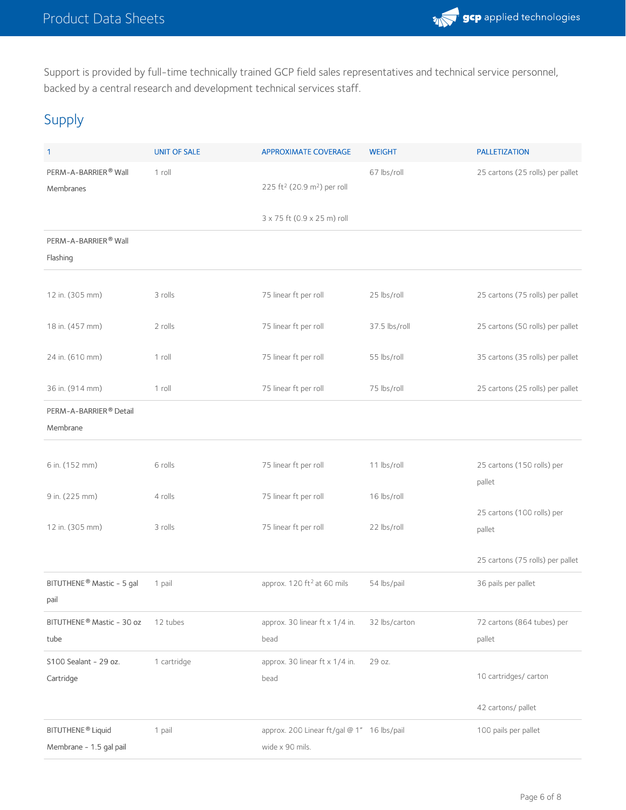

Support is provided by full-time technically trained GCP field sales representatives and technical service personnel, backed by a central research and development technical services staff.

# Supply

| 1                                                        | <b>UNIT OF SALE</b> | <b>APPROXIMATE COVERAGE</b>                                   | <b>WEIGHT</b> | <b>PALLETIZATION</b>                 |
|----------------------------------------------------------|---------------------|---------------------------------------------------------------|---------------|--------------------------------------|
| PERM-A-BARRIER® Wall<br>Membranes                        | 1 roll              | 225 ft <sup>2</sup> (20.9 m <sup>2</sup> ) per roll           | 67 lbs/roll   | 25 cartons (25 rolls) per pallet     |
|                                                          |                     | 3 x 75 ft (0.9 x 25 m) roll                                   |               |                                      |
| PERM-A-BARRIER® Wall<br>Flashing                         |                     |                                                               |               |                                      |
| 12 in. (305 mm)                                          | 3 rolls             | 75 linear ft per roll                                         | 25 lbs/roll   | 25 cartons (75 rolls) per pallet     |
| 18 in. (457 mm)                                          | 2 rolls             | 75 linear ft per roll                                         | 37.5 lbs/roll | 25 cartons (50 rolls) per pallet     |
| 24 in. (610 mm)                                          | 1 roll              | 75 linear ft per roll                                         | 55 lbs/roll   | 35 cartons (35 rolls) per pallet     |
| 36 in. (914 mm)                                          | 1 roll              | 75 linear ft per roll                                         | 75 lbs/roll   | 25 cartons (25 rolls) per pallet     |
| PERM-A-BARRIER® Detail<br>Membrane                       |                     |                                                               |               |                                      |
| 6 in. (152 mm)                                           | 6 rolls             | 75 linear ft per roll                                         | 11 lbs/roll   | 25 cartons (150 rolls) per<br>pallet |
| 9 in. (225 mm)                                           | 4 rolls             | 75 linear ft per roll                                         | 16 lbs/roll   |                                      |
| 12 in. (305 mm)                                          | 3 rolls             | 75 linear ft per roll                                         | 22 lbs/roll   | 25 cartons (100 rolls) per<br>pallet |
|                                                          |                     |                                                               |               | 25 cartons (75 rolls) per pallet     |
| BITUTHENE® Mastic - 5 gal<br>pail                        | 1 pail              | approx. 120 ft <sup>2</sup> at 60 mils                        | 54 lbs/pail   | 36 pails per pallet                  |
| BITUTHENE® Mastic - 30 oz<br>tube                        | 12 tubes            | approx. 30 linear ft x 1/4 in.<br>bead                        | 32 lbs/carton | 72 cartons (864 tubes) per<br>pallet |
| S100 Sealant - 29 oz.<br>Cartridge                       | 1 cartridge         | approx. 30 linear ft x 1/4 in.<br>bead                        | 29 oz.        | 10 cartridges/ carton                |
|                                                          |                     |                                                               |               | 42 cartons/ pallet                   |
| BITUTHENE <sup>®</sup> Liquid<br>Membrane - 1.5 gal pail | 1 pail              | approx. 200 Linear ft/gal @ 1" 16 lbs/pail<br>wide x 90 mils. |               | 100 pails per pallet                 |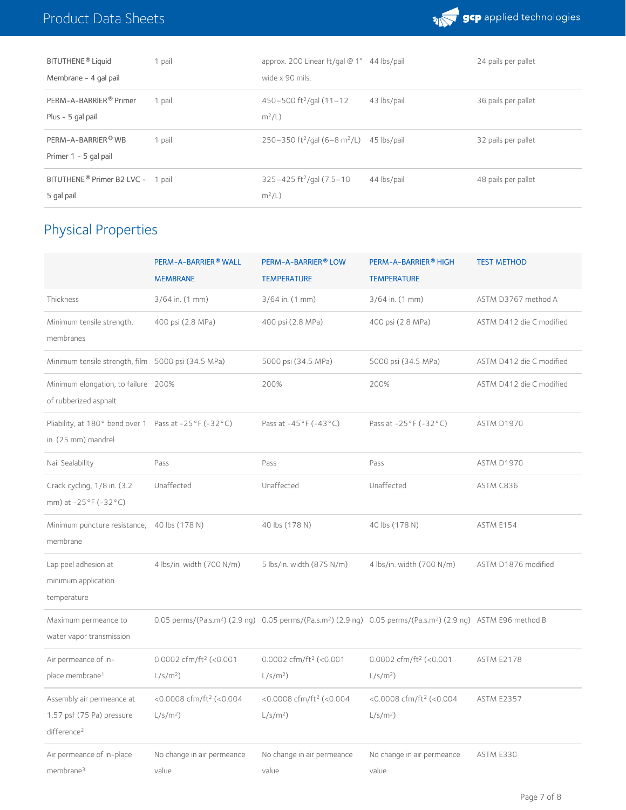

| BITUTHENE <sup>®</sup> Liquid                               | 1 pail | approx. 200 Linear $ft$ /qal @ 1" 44 lbs/pail                    |             | 24 pails per pallet |
|-------------------------------------------------------------|--------|------------------------------------------------------------------|-------------|---------------------|
| Membrane - 4 gal pail                                       |        | wide x 90 mils.                                                  |             |                     |
| PERM-A-BARRIER <sup>®</sup> Primer<br>Plus - 5 gal pail     | 1 pail | $450 - 500$ ft <sup>2</sup> /gal $(11 - 12)$<br>$m^2/L$ )        | 43 lbs/pail | 36 pails per pallet |
| PERM-A-BARRIER® WB<br>Primer 1 - 5 gal pail                 | 1 pail | 250-350 ft <sup>2</sup> /gal (6-8 m <sup>2</sup> /L) 45 lbs/pail |             | 32 pails per pallet |
| BITUTHENE <sup>®</sup> Primer B2 LVC - 1 pail<br>5 gal pail |        | $325 - 425$ ft <sup>2</sup> /gal (7.5-10)<br>$m^2/L$ )           | 44 lbs/pail | 48 pails per pallet |

# Physical Properties

|                                                                                   | PERM-A-BARRIER <sup>®</sup> WALL<br><b>MEMBRANE</b> | PERM-A-BARRIER <sup>®</sup> LOW<br><b>TEMPERATURE</b> | PERM-A-BARRIER <sup>®</sup> HIGH<br><b>TEMPERATURE</b>                                                                                             | <b>TEST METHOD</b>       |
|-----------------------------------------------------------------------------------|-----------------------------------------------------|-------------------------------------------------------|----------------------------------------------------------------------------------------------------------------------------------------------------|--------------------------|
| Thickness                                                                         | $3/64$ in. $(1$ mm)                                 | 3/64 in. (1 mm)                                       | $3/64$ in. $(1$ mm)                                                                                                                                | ASTM D3767 method A      |
| Minimum tensile strength,<br>membranes                                            | 400 psi (2.8 MPa)                                   | 400 psi (2.8 MPa)                                     | 400 psi (2.8 MPa)                                                                                                                                  | ASTM D412 die C modified |
| Minimum tensile strength, film 5000 psi (34.5 MPa)                                |                                                     | 5000 psi (34.5 MPa)                                   | 5000 psi (34.5 MPa)                                                                                                                                | ASTM D412 die C modified |
| Minimum elongation, to failure 200%<br>of rubberized asphalt                      |                                                     | 200%                                                  | 200%                                                                                                                                               | ASTM D412 die C modified |
| Pliability, at 180° bend over 1 Pass at -25°F (-32°C)<br>in. (25 mm) mandrel      |                                                     | Pass at -45°F (-43°C)                                 | Pass at -25°F (-32°C)                                                                                                                              | ASTM D1970               |
| Nail Sealability                                                                  | Pass                                                | Pass                                                  | Pass                                                                                                                                               | ASTM D1970               |
| Crack cycling, 1/8 in. (3.2)<br>mm) at -25°F (-32°C)                              | Unaffected                                          | Unaffected                                            | Unaffected                                                                                                                                         | ASTM C836                |
| Minimum puncture resistance,<br>membrane                                          | 40 lbs (178 N)                                      | 40 lbs (178 N)                                        | 40 lbs (178 N)                                                                                                                                     | ASTM E154                |
| Lap peel adhesion at<br>minimum application<br>temperature                        | 4 lbs/in. width (700 N/m)                           | 5 lbs/in. width (875 N/m)                             | 4 lbs/in. width (700 N/m)                                                                                                                          | ASTM D1876 modified      |
| Maximum permeance to<br>water vapor transmission                                  |                                                     |                                                       | 0.05 perms/(Pa.s.m <sup>2</sup> ) (2.9 ng) 0.05 perms/(Pa.s.m <sup>2</sup> ) (2.9 ng) 0.05 perms/(Pa.s.m <sup>2</sup> ) (2.9 ng) ASTM E96 method B |                          |
| Air permeance of in-<br>place membrane <sup>1</sup>                               | 0.0002 cfm/ft <sup>2</sup> (<0.001<br>$L/s/m2$ )    | 0.0002 cfm/ft <sup>2</sup> (<0.001<br>$L/s/m2$ )      | 0.0002 cfm/ft <sup>2</sup> (<0.001<br>$L/s/m2$ )                                                                                                   | <b>ASTM E2178</b>        |
| Assembly air permeance at<br>1.57 psf (75 Pa) pressure<br>difference <sup>2</sup> | <0.0008 cfm/ft <sup>2</sup> (<0.004<br>$L/s/m2$ )   | <0.0008 cfm/ft <sup>2</sup> (<0.004<br>$L/s/m2$ )     | <0.0008 cfm/ft <sup>2</sup> (<0.004<br>$L/s/m2$ )                                                                                                  | <b>ASTM E2357</b>        |
| Air permeance of in-place<br>membrane <sup>3</sup>                                | No change in air permeance<br>value                 | No change in air permeance<br>value                   | No change in air permeance<br>value                                                                                                                | ASTM E330                |